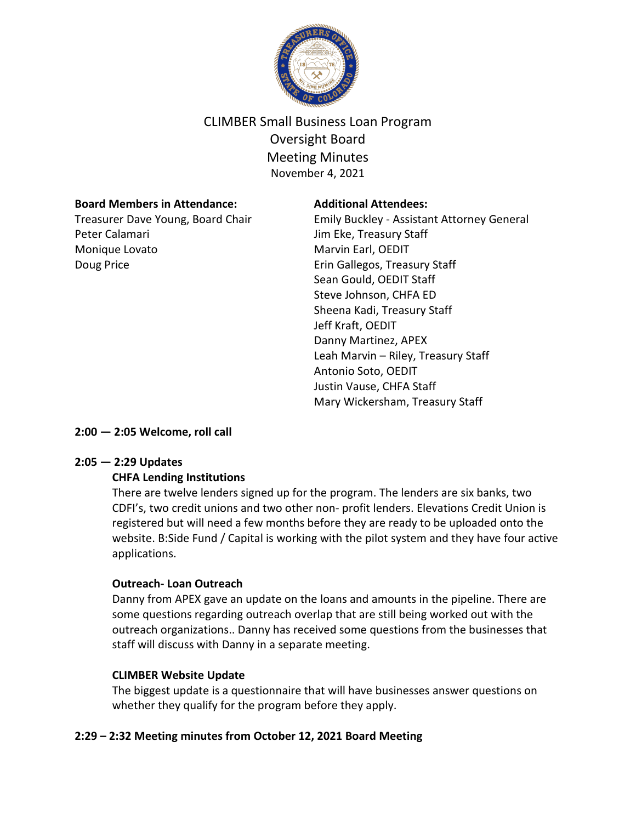

# CLIMBER Small Business Loan Program Oversight Board Meeting Minutes November 4, 2021

#### **Board Members in Attendance:**

Treasurer Dave Young, Board Chair Peter Calamari Monique Lovato Doug Price

#### **Additional Attendees:**

Emily Buckley - Assistant Attorney General Jim Eke, Treasury Staff Marvin Earl, OEDIT Erin Gallegos, Treasury Staff Sean Gould, OEDIT Staff Steve Johnson, CHFA ED Sheena Kadi, Treasury Staff Jeff Kraft, OEDIT Danny Martinez, APEX Leah Marvin – Riley, Treasury Staff Antonio Soto, OEDIT Justin Vause, CHFA Staff Mary Wickersham, Treasury Staff

**2:00 — 2:05 Welcome, roll call**

#### **2:05 — 2:29 Updates**

#### **CHFA Lending Institutions**

There are twelve lenders signed up for the program. The lenders are six banks, two CDFI's, two credit unions and two other non- profit lenders. Elevations Credit Union is registered but will need a few months before they are ready to be uploaded onto the website. B:Side Fund / Capital is working with the pilot system and they have four active applications.

#### **Outreach- Loan Outreach**

Danny from APEX gave an update on the loans and amounts in the pipeline. There are some questions regarding outreach overlap that are still being worked out with the outreach organizations.. Danny has received some questions from the businesses that staff will discuss with Danny in a separate meeting.

#### **CLIMBER Website Update**

The biggest update is a questionnaire that will have businesses answer questions on whether they qualify for the program before they apply.

## **2:29 – 2:32 Meeting minutes from October 12, 2021 Board Meeting**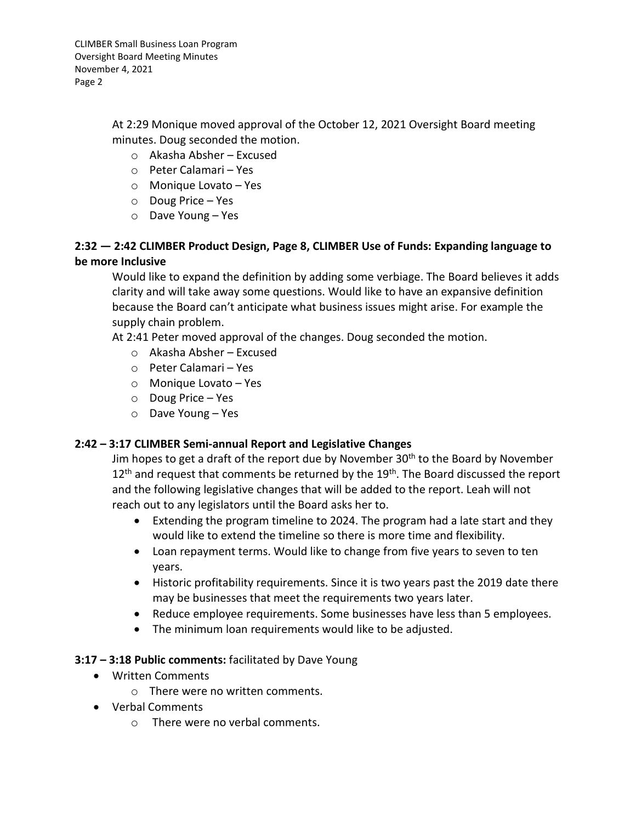CLIMBER Small Business Loan Program Oversight Board Meeting Minutes November 4, 2021 Page 2

> At 2:29 Monique moved approval of the October 12, 2021 Oversight Board meeting minutes. Doug seconded the motion.

- o Akasha Absher Excused
- o Peter Calamari Yes
- o Monique Lovato Yes
- o Doug Price Yes
- o Dave Young Yes

# **2:32 — 2:42 CLIMBER Product Design, Page 8, CLIMBER Use of Funds: Expanding language to be more Inclusive**

Would like to expand the definition by adding some verbiage. The Board believes it adds clarity and will take away some questions. Would like to have an expansive definition because the Board can't anticipate what business issues might arise. For example the supply chain problem.

At 2:41 Peter moved approval of the changes. Doug seconded the motion.

- o Akasha Absher Excused
- o Peter Calamari Yes
- o Monique Lovato Yes
- o Doug Price Yes
- o Dave Young Yes

#### **2:42 – 3:17 CLIMBER Semi-annual Report and Legislative Changes**

Jim hopes to get a draft of the report due by November 30<sup>th</sup> to the Board by November  $12<sup>th</sup>$  and request that comments be returned by the  $19<sup>th</sup>$ . The Board discussed the report and the following legislative changes that will be added to the report. Leah will not reach out to any legislators until the Board asks her to.

- Extending the program timeline to 2024. The program had a late start and they would like to extend the timeline so there is more time and flexibility.
- Loan repayment terms. Would like to change from five years to seven to ten years.
- Historic profitability requirements. Since it is two years past the 2019 date there may be businesses that meet the requirements two years later.
- Reduce employee requirements. Some businesses have less than 5 employees.
- The minimum loan requirements would like to be adjusted.

#### **3:17 – 3:18 Public comments:** facilitated by Dave Young

- Written Comments
	- o There were no written comments.
- Verbal Comments
	- o There were no verbal comments.